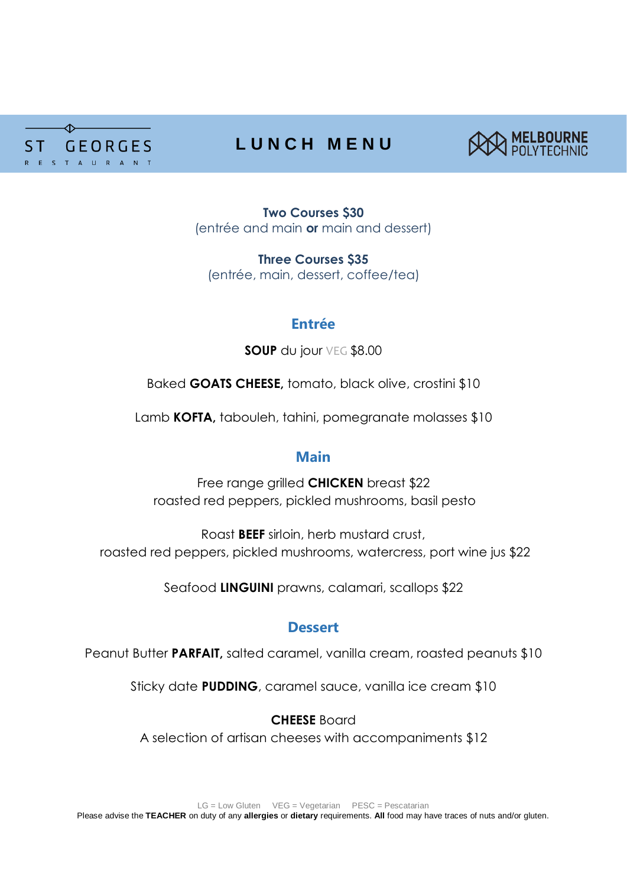

# **L U N C H M E N U**



**Two Courses \$30** (entrée and main **or** main and dessert)

**Three Courses \$35** (entrée, main, dessert, coffee/tea)

# **Entrée**

**SOUP** du jour VEG \$8.00

Baked **GOATS CHEESE,** tomato, black olive, crostini \$10

Lamb **KOFTA,** tabouleh, tahini, pomegranate molasses \$10

# **Main**

Free range grilled **CHICKEN** breast \$22 roasted red peppers, pickled mushrooms, basil pesto

Roast **BEEF** sirloin, herb mustard crust, roasted red peppers, pickled mushrooms, watercress, port wine jus \$22

Seafood **LINGUINI** prawns, calamari, scallops \$22

# **Dessert**

Peanut Butter **PARFAIT**, salted caramel, vanilla cream, roasted peanuts \$10

Sticky date **PUDDING**, caramel sauce, vanilla ice cream \$10

# **CHEESE** Board

A selection of artisan cheeses with accompaniments \$12